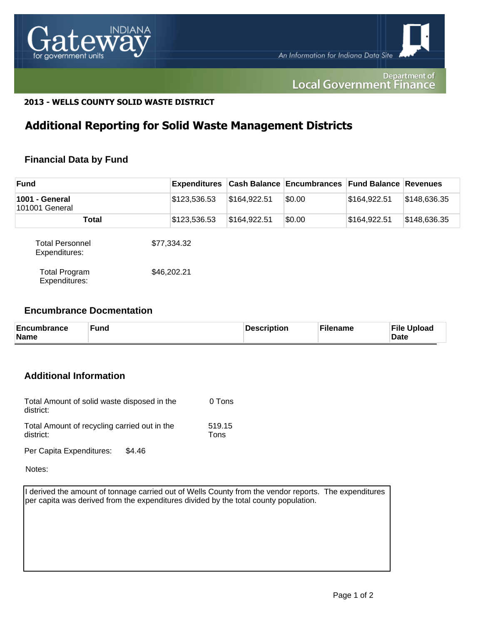

#### Department of **Local Government Finance**

### **2013 - WELLS COUNTY SOLID WASTE DISTRICT**

# **Additional Reporting for Solid Waste Management Districts**

## **Financial Data by Fund**

| <b>Fund</b>                             | <b>Expenditures</b> |              | <b>Cash Balance Encumbrances Fund Balance Revenues</b> |              |              |
|-----------------------------------------|---------------------|--------------|--------------------------------------------------------|--------------|--------------|
| 1001 - General<br>101001 General        | \$123,536.53        | \$164,922.51 | \$0.00                                                 | \$164,922.51 | \$148,636.35 |
| Total                                   | \$123,536.53        | \$164,922.51 | \$0.00                                                 | \$164,922.51 | \$148,636.35 |
| <b>Total Personnel</b><br>Expenditures: | \$77,334.32         |              |                                                        |              |              |
| <b>Total Program</b><br>Expenditures:   | \$46,202.21         |              |                                                        |              |              |

#### **Encumbrance Docmentation**

| Encumbrance<br>Name | <b>Fund</b> | Description | ั <sup>⊏</sup> ilename | <b>File</b><br><b>Upload</b><br><b>Date</b> |
|---------------------|-------------|-------------|------------------------|---------------------------------------------|
|---------------------|-------------|-------------|------------------------|---------------------------------------------|

## **Additional Information**

| Total Amount of solid waste disposed in the<br>district:  | 0 Tons         |
|-----------------------------------------------------------|----------------|
| Total Amount of recycling carried out in the<br>district: | 519.15<br>Tons |
|                                                           |                |

Per Capita Expenditures: \$4.46

Notes:

I derived the amount of tonnage carried out of Wells County from the vendor reports. The expenditures per capita was derived from the expenditures divided by the total county population.